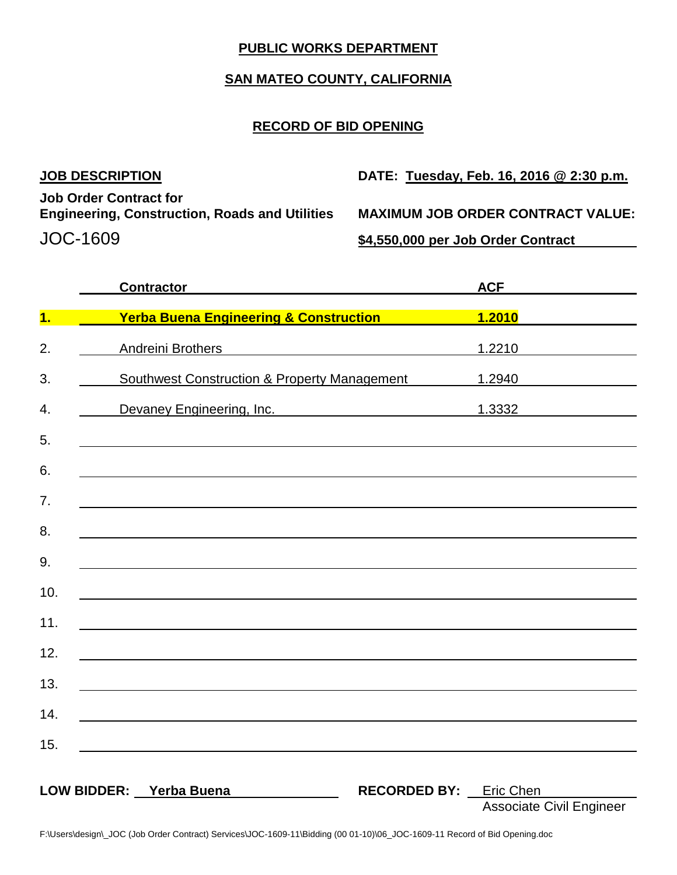# **PUBLIC WORKS DEPARTMENT**

## **SAN MATEO COUNTY, CALIFORNIA**

#### **RECORD OF BID OPENING**

| <b>JOB DESCRIPTION</b>                                                                 | DATE: Tuesday, Feb. 16, 2016 @ 2:30 p.m. |
|----------------------------------------------------------------------------------------|------------------------------------------|
| <b>Job Order Contract for</b><br><b>Engineering, Construction, Roads and Utilities</b> | <b>MAXIMUM JOB ORDER CONTRACT VALUE:</b> |
| JOC-1609                                                                               | \$4,550,000 per Job Order Contract       |

|     | <b>Contractor Contractor</b>                                                                                         |                               | <b>ACF</b>                      |
|-----|----------------------------------------------------------------------------------------------------------------------|-------------------------------|---------------------------------|
| 1.  | <b>Yerba Buena Engineering &amp; Construction</b>                                                                    |                               |                                 |
| 2.  | Andreini Brothers                                                                                                    |                               | 1.2210                          |
| 3.  | Southwest Construction & Property Management                                                                         |                               | 1.2940                          |
| 4.  | Devaney Engineering, Inc. 1.3332                                                                                     |                               |                                 |
| 5.  |                                                                                                                      |                               |                                 |
| 6.  |                                                                                                                      |                               |                                 |
| 7.  |                                                                                                                      |                               |                                 |
| 8.  | and the control of the control of the control of the control of the control of the control of the control of the     |                               |                                 |
| 9.  |                                                                                                                      |                               |                                 |
| 10. |                                                                                                                      |                               |                                 |
| 11. |                                                                                                                      |                               |                                 |
| 12. | <u> 1980 - Johann Barbara, martin amerikan basar dan berasal dalam basa dalam basar dalam basar dalam basar dala</u> |                               |                                 |
| 13. |                                                                                                                      |                               |                                 |
| 14. |                                                                                                                      |                               |                                 |
| 15. | <u> 1980 - Andrea Andrew Maria (h. 1980).</u>                                                                        |                               |                                 |
|     |                                                                                                                      |                               |                                 |
|     | LOW BIDDER: Yerba Buena                                                                                              | <b>RECORDED BY:</b> Eric Chen | <b>Associate Civil Engineer</b> |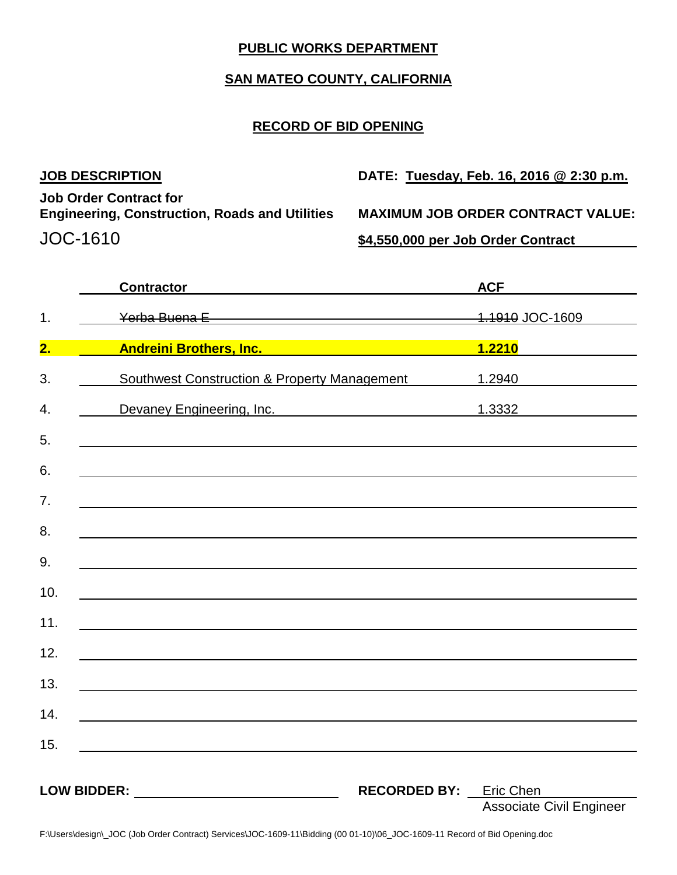# **PUBLIC WORKS DEPARTMENT**

## **SAN MATEO COUNTY, CALIFORNIA**

## **RECORD OF BID OPENING**

**Job Order Contract for Engineering, Construction, Roads and Utilities MAXIMUM JOB ORDER CONTRACT VALUE:** JOC-1610 **\$4,550,000 per Job Order Contract**

**JOB DESCRIPTION DATE: Tuesday, Feb. 16, 2016 @ 2:30 p.m.**

|     | <b>Contractor</b>                                                                                                     |                               | <b>ACF</b>                      |
|-----|-----------------------------------------------------------------------------------------------------------------------|-------------------------------|---------------------------------|
| 1.  | Yerba Buena E Manuel Alexandre Manuel Alexandre Manuel Alexandre Manuel Alexandre Manuel Alexandre Manuel Alex        |                               | 1.1910 JOC-1609                 |
| 2.  | <b>Andreini Brothers, Inc. Manual Andreini Brothers</b>                                                               |                               | 1.2210                          |
| 3.  | <b>Southwest Construction &amp; Property Management</b>                                                               |                               | 1.2940                          |
| 4.  | Devaney Engineering, Inc.                                                                                             |                               |                                 |
| 5.  |                                                                                                                       |                               |                                 |
| 6.  |                                                                                                                       |                               |                                 |
| 7.  |                                                                                                                       |                               |                                 |
| 8.  |                                                                                                                       |                               |                                 |
| 9.  |                                                                                                                       |                               |                                 |
| 10. |                                                                                                                       |                               |                                 |
| 11. |                                                                                                                       |                               |                                 |
| 12. |                                                                                                                       |                               |                                 |
| 13. | <u> 1989 - Johann Harry Harry Harry Harry Harry Harry Harry Harry Harry Harry Harry Harry Harry Harry Harry Harry</u> |                               |                                 |
| 14. |                                                                                                                       |                               |                                 |
| 15. |                                                                                                                       |                               |                                 |
|     |                                                                                                                       |                               |                                 |
|     |                                                                                                                       | <b>RECORDED BY:</b> Eric Chen |                                 |
|     |                                                                                                                       |                               | <b>Associate Civil Engineer</b> |